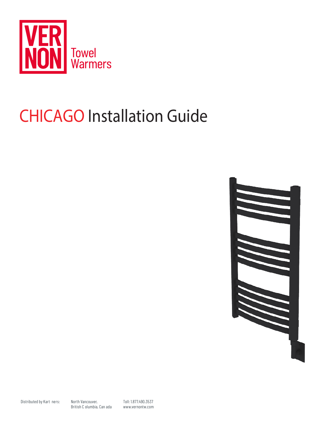

# **CHICAGO Installation Guide**



Toll: 1.877.490.3537 www.vernontw.com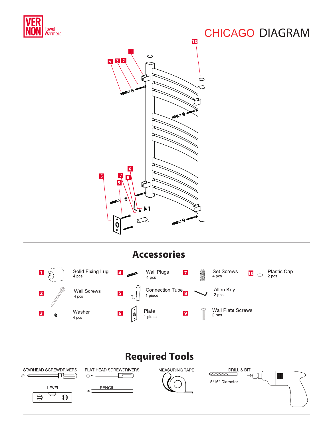

# **CHICAGO DIAGRAM**



### **Accessories**



# **Required Tools**

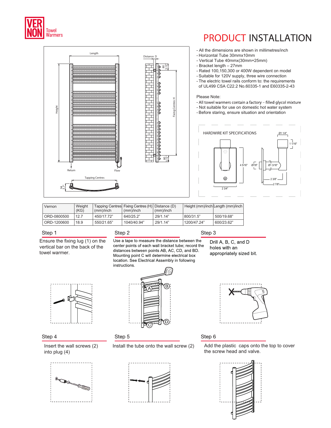

Height

94

3.7"

Length

Tapping Centres Return Flow

## **PRODUCT INSTALLATION**

- All the dimensions are shown in millimetres/inch
- Horizontal Tube 30mmx10mm
- Vertical Tube 40mmx(30mm+25mm)
- Bracket length 27mm
- Rated 100,150,300 or 400W dependent on model
- Suitable for 120V supply, three wire connection
- The electric towel rails conform to: the requirements of UL499 CSA C22.2 No.60335-1 and E60335-2-43

#### Please Note:

- All towel warmers contain a factory filled glycol mixture
- Not suitable for use on domestic hot water system
- Before staring, ensure situation and orientation



| Vernon      | Weight |            | Tapping Centres Fixing Centres (H) Distance (D) |           |             | Height (mm)/inch Length (mm)/inch |
|-------------|--------|------------|-------------------------------------------------|-----------|-------------|-----------------------------------|
|             | (KG)   | (mm)/inch  | (mm)/inch                                       | (mm)/inch |             |                                   |
| ORD-0800500 | 12.7   | 450/17.72" | 640/25.2"                                       | 29/1.14"  | 800/31.5"   | 500/19.68"                        |
| ORD-1200600 | 18.9   | 550/21.65" | 1040/40.94"                                     | 29/1.14"  | 1200/47.24" | 600/23.62"                        |

Distance

 $\frac{80}{100}$  80

3.15"

3.15"

Fixing Centres H

#### Step 1

Ensure the fixing lug (1) on the vertical bar on the back of the towel warmer.



Use a tape to measure the distance between the center points of each wall bracket tube; record the distances between points AB, AC, CD, and BD. Mounting point C will determine electrical box location. See Electrical Assembly in following instructions.

Step 3

Drill A, B, C, and D holes with an appropriately sized bit.



#### Step 4

Insert the wall screws (2) into plug (4)





#### Step 5





#### Step 6

Install the tube onto the wall screw  $(2)$  Add the plastic caps onto the top to cover the screw head and valve.